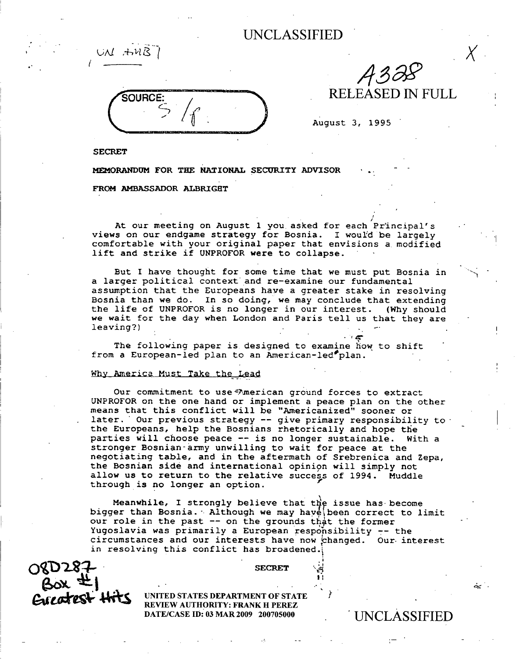

432

**August 3, 1995**

I

**SECRET**

UN AMB

**MEMORANDUM FOR THE NATIONAL SECURITY ADVISOR** -

### **FROM AMBASSADOR ALBRIGHT**

**At** our meeting on August 1 you asked for each Principal's **views on our endgame** strategy for Bosnia. I would be largely comfortable with your original paper that envisions a modified lift and strike if UNPROFOR **were to collapse.**

But I have thought for some time that we must put Bosnia in a larger political context and re-examine our fundamental assumption that the Europeans have a greater stake in resolving Bosnia than we do. In so doing, we may conclude that extending the life of UNPROFOR is no longer in our interest. (Why should we wait for the day when London and Paris tell us that they are  $leaving?$ )

The following paper is designed to examine how to shift from a European-led plan to an American-led<sup>p</sup>plan.

#### Why America Must Take the Lead

Our commitment to use =American ground forces to extract UNPROFOR on the one hand or implement a peace plan on the other means that this conflict will be "Americanized" sooner or later. Our previous strategy -- give primary responsibility to the Europeans, help the Bosnians rhetorically and hope the parties will choose peace -- **is no** longer sustainable. With a stronger **Bosnian-army** unwilling to wait for peace at the negotiating table, and in the aftermath of Srebrenica and Zepa, the Bosnian side and international opinion will simply not allow **us to return** to the relative success of 1994. Muddle through is no longer an option.

**Meanwhile,** I strongly believe that thy issue has become bigger than Bosnia. Although we may have been correct to limit our role in the past -- on the grounds that the former Yugoslavia was primarily a European responsibility -- the circumstances and our interests have now changed. Our. interest in resolving this conflict has broadened.

O 8D 287-<br>
SOX = **1**<br>
CAP OFFERENT UNITED STATES DEPARTMENT OF ST

**UNITED STATES DEPARTMENT OF STATE REVIEW AUTHORITY: FRANK H PEREZ DATE/CASE ID: 03 MAR 2009 200705000 UNCLASSIFIED** 

. أين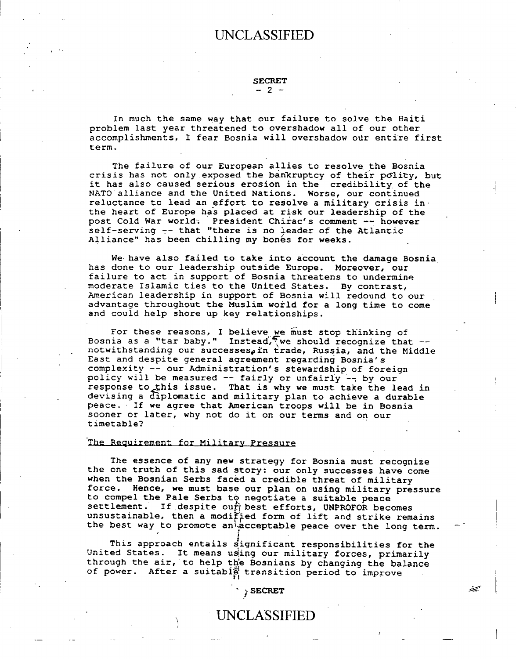**SECRET -2 -**

**In much the same way that our failure to solve the Haiti problem last year threatened to overshadow all of our other accomplishments, I fear Bosnia will overshadow our entire first term.**

**The failure of our European allies to resolve the Bosnia crisis has not** only exposed **the bankruptcy of their polity, but it has also caused serious erosion in the credibility of the NATO alliance and the United Nations. Worse, our continued reluctance to lead an effort to resolve a military crisis in the heart of Europe has placed at risk our leadership of the post Cold War world- President Chirac's comment** -- **however self-serving** -- **that "there is no leader of the Atlantic** Alliance" has been chilling my bones for weeks.

**We- have also failed to take into account the damage Bosnia has done to our leadership outside Europe. Moreover, our failure to act in support of Bosnia threatens to undermine moderate Islamic ties to the United States. By contrast, American leadership in support of Bosnia** will **redound to our** . **advantage throughout the Muslim world for a long time to come and could help shore up key relationships.**

**For these reasons, I believe we must stop thinking of Bosnia as a "tar baby."** Instead, we should recognize that  $-\text{-}$  notwithstanding our successes, in trade, Russia, and the Middle **East and despite general agreement regarding Bosnia's complexity** -- **our Administration's stewardship of foreign** policy **will be measured** -- **fairly or** unfairly -- **by our** response to this issue. That is why we must take the lead in **devising a diplomatic and military plan to achieve a durable peace. If we agree that American troops will be in Bosnia sooner or later, why not do it on our terms and on our timetable?**

#### **The** Requirement **for Military Pressure**

**The essence of any new strategy for Bosnia must recognize the one truth of this sad story: our only successes have come when the Bosnian Serbs faced a credible threat of military force. Hence, we must base our plan on using military pressure to compel the Pale Serbs to negotiate a suitable peace** If despite out best efforts, UNPROFOR becomes unsustainable, then a modified form of lift and strike remains the best way to promote an<sup>i</sup> acceptable peace over the long term.

**This approach entails significant responsibilities for the** United States. It means using our military forces, primarily **through the air, to help** the **Bosnians by changing the balance of power. After a suitabi} transition period to improve**

*SECRET*

ببينته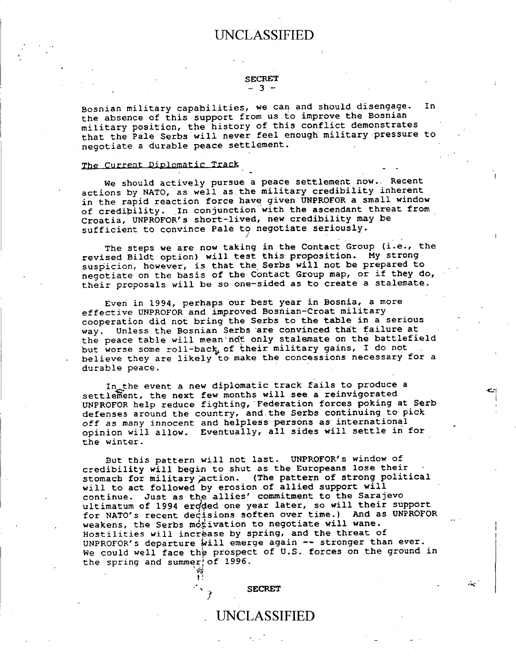#### **SECRET** - 3 -

**Bosnian military capabilities, we can and should disengage. In the absence of this support from us to improve the Bosnian military position, the history of this conflict demonstrates that the Pale Serbs will never feel enough military pressure to negotiate a durable peace settlement.**

#### **The Current Diplomatic Track**

**We should actively pursue a peace settlement now.. Recent actions by NATO, as well as.the military credibility inherent in the rapid reaction force have given UNPROFOR a small window of credibility. In conjunction with the ascendant threat from Croatia, UNPROFOR's short-lived, new credibility may be sufficient to convince Pale to negotiate seriously.**

**The steps we are now taking in the Contact Group (i.e., the revised Bildt option) will test this proposition. My strong suspicion, however, is that the Serbs will not be prepared to negotiate on the basis of the Contact Group map, or if they do, their proposals will be so one-sided as to create a stalemate.**

**Even in 1994, perhaps our best year in Bosnia, a more effective UNPROFOR and improved Bosnian-Croat military cooperation did not bring the Serbs to the table in a serious way. Unless the Bosnian Serbs -are convinced that failure at the peace table will mean-ndt only stalemate on the battlefield** but worse some roll-back of their military gains, I do not **believe they are likely to make the concessions necessary for a durable peace.**

**In.the event a new diplomatic track fails to produce a** settlement, **the next few months will see a reinvigorated UNPROFOR help reduce fighting, Federation forces poking at Serb defenses around the country,** and-the **Serbs continuing to pick off as many innocent and helpless persons as international opinion will allow. Eventually, all sides will settle in for the winter.**

**But this pattern will not last. UNPROFOR's window of** credibility will begin to shut as the Europeans lose their **stomach for military jaction. (The pattern of strong political will to act followed by erosion of allied support will continue. Just as the allies' commitment to the Sarajevo ultimatum of 1994 erdded one year later, so will their support for NATO's recent decisions soften over time.) And as UNPROFOR** weakens, the Serbs motivation to negotiate will wane. **Hostilities will increase by spring, and the threat of UNPROFOR's departure 'ill emerge again -- stronger than ever. We could well face the prospect of U.S. forces on the ground in the spring and summer of 1996.**

UNCLASSIFIED

**SECRET**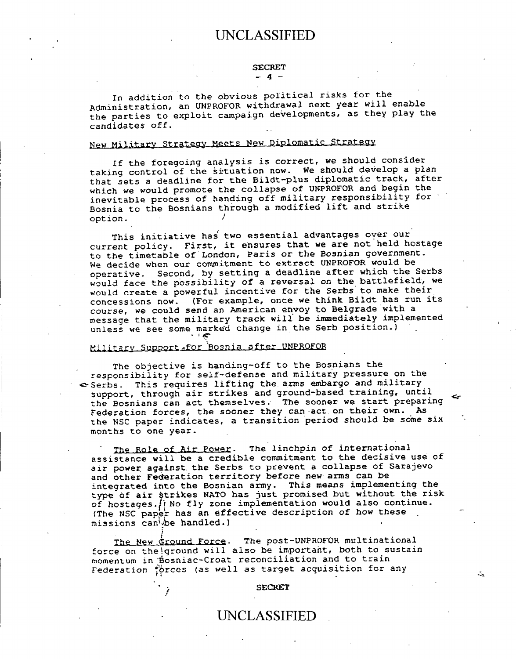#### SECRET **-4-**

In addition to the obvious political risks for the Administration, an UNPROFOR withdrawal next year will enable the parties to exploit campaign developments, as they play the candidates off.

# New Military Strategy Meets New Diplomatic Strategy

If the foregoing analysis is correct, we should consider taking control of the situation **now. We** should develop a plan that **sets a** deadline for the Bildt-plus diplomatic track, after which we would promote the collapse of UNPROFOR and begin the inevitable process of handing off military responsibility for' Bosnia to the Bosnians through a modified lift and strike option.

This initiative has' two essential advantages over our current policy. First, it ensures that **we are not** held hostage to the timetable of London, Paris or the **Bosnian** government. We decide when our commitment to extract UNPROFOR would be operative. Second, by setting a deadline after which the Serbs would face the possibility of a reversal on the battlefield, we would create a powerful incentive for the Serbs to make their concessions now. (For example, once we think Bildt has run its course, **we could send** an American envoy to Belgrade with a message that the military track will be immediately implemented unless **we see some** marked change in the Serb position.)

### Military Support-for Bosnia after UNPROFOR

The objective is handing-off to the Bosnians the responsibility for self-defense and military pressure on the  $\in$  Serbs. This requires lifting the arms embargo and military support, through air strikes and ground-based training, until the Bosnians can act themselves. The sooner we start preparing Federation forces, the sooner they can act on their own. As the NSC paper indicates, a transition period should **be some six** months to **one** year.

The Role of Air Power. The linchpin of international **assistance** will be a credible commitment to the decisive use of **air power against.** the Serbs to prevent a collapse of Sarajevo and other **Federation** territory before new **arms can be integrated** into **the Bosnian army. This means** implementing the type **of air** strikes NATO has just promised but without the risk of hostages. () No fly zone implementation would also continue. (The NSC paper has an effective description of how these missions can'be handled.)

The New Ground Force. The post-UNPROFOR multinational force on the ground will also be important, both to sustain momentum in Bosniac-Croat reconciliation and to train Federation prces (as well as target acquisition for any

#### **SECRET**

## UNCLASSIFIED

 $\mathcal{L}$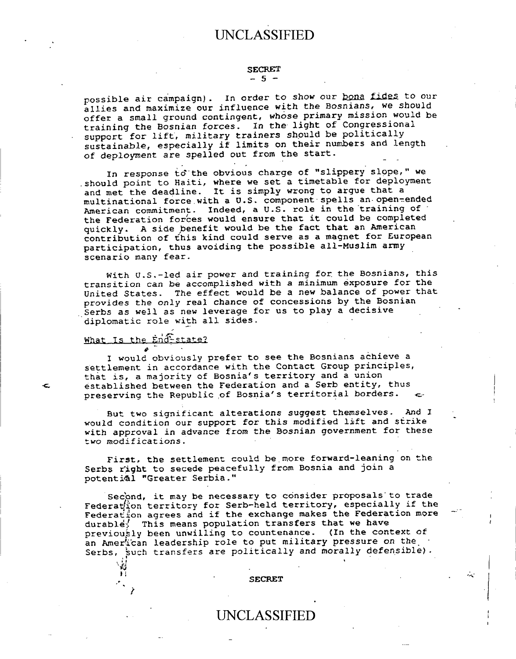#### **SECRET -5 -**

possible air campaign). In order to show our **bona fides** to our **allies and maximize our influence with the Bosnians, we should offer a small ground contingent, whose primary mission would be training the Bosnian forces. In the light of Congressional support for lift, military trainers should be politically sustainable, especially if limits on their numbers and length of deployment are spelled out from the start.**

**In response td-the obvious charge of "slippery slope," we should point to Haiti, where we set a timetable for deployment and met the deadline. It is simply wrong to argue that a multinational force.with a U.S. component-spells an-open-ended American commitment. Indeed, a U.S. role in the training of the Federation for'ces would ensure that it could be completed quickly. A side benefit would be the fact that an American contribution of this kind could serve as a magnet for European participation, thus avoiding the possible all-Muslim army scenario many fear.**

**With U.S.-led air power and training for the Bosnians, this transition can be accomplished with a minimum exposure for the United States. The effect would be a new balance of power that provides the only real chance of concessions by the Bosnian** . **Serbs as well as new leverage for us to play a decisive diplomatic role with all sides.**

### What **Is the ind** state?

**I would obviously prefer to see the Bosnians achieve a settlement in accordance with the Contact Group principles, that is, a majority of Bosnia's territory and a union established between the Federation and a Serb entity, thus** preserving the Republic of Bosnia's territorial borders.

**But two significant alterations suggest themselves. And I would condition our support for this modified lift and strike with approval in advance from the Bosnian government for these two modifications.**

First, the settlement could be more forward-leaning on the **Serbs right to secede peacefully from Bosnia and join a potential "Greater Serbia."**

Second, it may be necessary to consider proposals to trade **Federation territory for Serb-held territory, especially if the Federation agrees and if the exchange makes the Federation more durable; This means population transfers that we have previously been unwilling to countenance. (In the context of an American leadership role to put military pressure on the Serbs, Such transfers are politically and morally defensible) .**

#### **SECRET**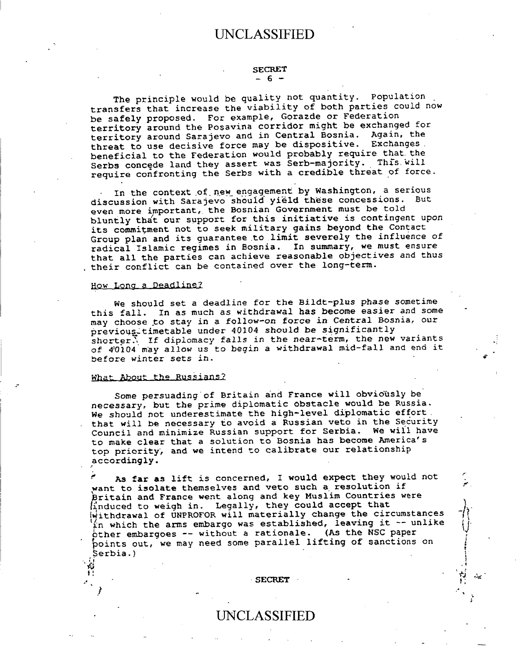#### SECRET  $-6 -$

The principle would be quality not quantity. Population transfers that increase the viability of both parties could now be safely proposed. For example, Gorazde or Federation territory around the Posavina corridor might be exchanged for territory around Sarajevo and in Central Bosnia. Again, the threat to use decisive force may be dispositive. Exchanges. beneficial to the Federation would probably require that. the Serbs concede land they assert was Serb-majority. This will require confronting the Serbs with a credible threat of force.

In the context of new engagement by Washington, a serious discussion with Sarajevo should yield these concessions. But even more important, the Bosnian Government must be told bluntly tha't our support for this initiative is contingent upon its commitment not to seek military gains beyond the Contact Group plan and its guarantee to limit severely the influence of radical Islamic regimes in Bosnia. **In summary,** we must ensure that all the parties can achieve **reasonable** objectives and thus their conflict can be contained over the long-term.

#### How Long a Deadline?

We should set a deadline for the Bildt-plus *phase* sometime this fall. **In as** much as withdrawal **has become** easier and some may choose to stay in a follow-on force in Central Bosnia, our previous timetable under 40104 should be significantly shorter. If diplomacy falls in the near-term, the new variants of 4'0104 may allow us to begin a withdrawal mid-fall and end it before winter sets in.

#### What About the Russians?

药  $\overline{\mathbf{1}}$ .

Some persuading of Britain and France will obviously be necessary, but the prime diplomatic obstacle would be Russia. We should not underestimate the high-level diplomatic effort. that will be necessary to avoid a Russian veto in the Security Council and minimize Russian support for Serbia. We will have to make clear that a solution to Bosnia has become America's top priority, and we intend to calibrate our relationship accordingly.

**As far** as lift is concerned, I would expect they would not want to **isolate** themselves and veto such a resolution if ritain and **France** went along and key Muslim Countries were induced to weigh in. Legally, they could accept that withdrawal of UNPROFOR will materially change the circumstances in which the arms embargo was established, leaving it  $-$  unlike other embargoes -- without a rationale. (As the NSC paper points out, we may need some parallel lifting of sanctions on Serbia.)

بينة